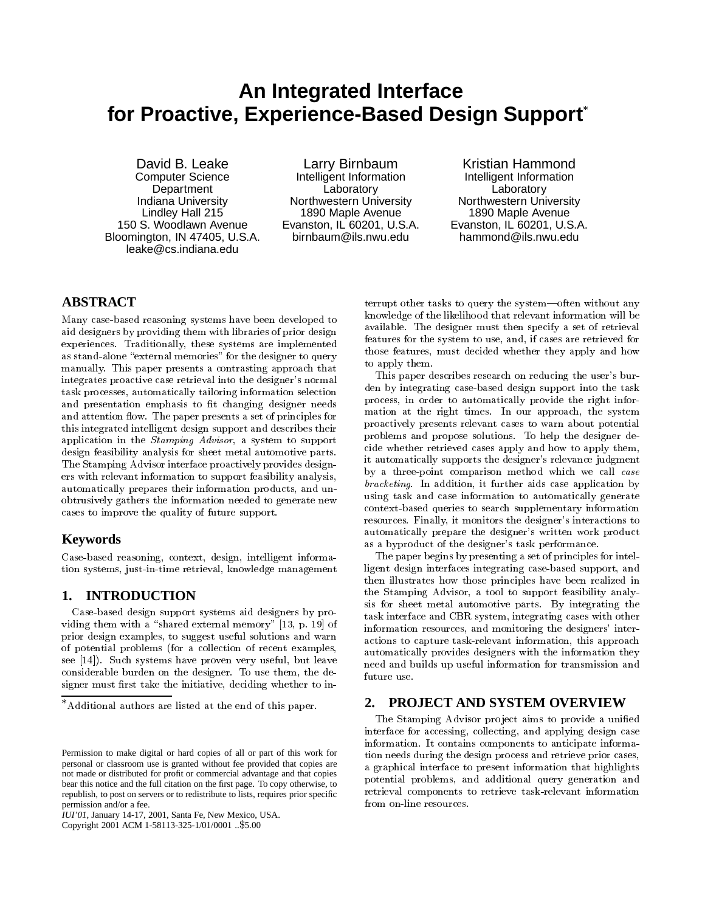# **An Integrated Interface for Proactive, Experience-Based Design Support**

David B. Leake Computer Science **Department** Indiana University Lindley Hall 215 150 S. Woodlawn Avenue Bloomington, IN 47405, U.S.A. leake@cs.indiana.edu

Larry Birnbaum Intelligent Information **Laboratory** Northwestern University 1890 Maple Avenue Evanston, IL 60201, U.S.A. birnbaum@ils.nwu.edu

Kristian Hammond Intelligent Information **Laboratory** Northwestern University 1890 Maple Avenue Evanston, IL 60201, U.S.A. hammond@ils.nwu.edu

# **ABSTRACT**

Many case-based reasoning systems have been developed to aid designers by providing them with libraries of prior design experiences. Traditionally, these systems are implemented as stand-alone "external memories" for the designer to query manually. This paper presents a contrasting approach that integrates proactive case retrieval into the designer's normal task processes, automatically tailoring information selection and presentation emphasis to fit changing designer needs and attention flow. The paper presents a set of principles for this integrated intelligent design support and describes their application in the Stamping Advisor, a system to support design feasibility analysis for sheet metal automotive parts. The Stamping Advisor interface proactively provides designers with relevant information to support feasibility analysis, automatically prepares their information products, and unobtrusively gathers the information needed to generate new cases to improve the quality of future support.

## **Keywords**

Case-based reasoning, context, design, intelligent information systems, just-in-time retrieval, knowledge management

# **1. INTRODUCTION**

Case-based design support systems aid designers by providing them with a "shared external memory"  $[13, p. 19]$  of prior design examples, to suggest useful solutions and warn of potential problems (for a collection of recent examples, see [14]). Such systems have proven very useful, but leave considerable burden on the designer. To use them, the designer must first take the initiative, deciding whether to in-

*IUI'01,* January 14-17, 2001, Santa Fe, New Mexico, USA.

Copyright 2001 ACM 1-58113-325-1/01/0001 ..\$5.00

terrupt other tasks to query the system-often without any knowledge of the likelihood that relevant information will be available. The designer must then specify a set of retrieval features for the system to use, and, if cases are retrieved for those features, must decided whether they apply and how to apply them.

This paper describes research on reducing the user's burden by integrating case-based design support into the task process, in order to automatically provide the right information at the right times. In our approach, the system proactively presents relevant cases to warn about potential problems and propose solutions. To help the designer decide whether retrieved cases apply and how to apply them, it automatically supports the designer's relevance judgment by a three-point comparison method which we call case bracketing. In addition, it further aids case application by using task and case information to automatically generate context-based queries to search supplementary information resources. Finally, it monitors the designer's interactions to automatically prepare the designer's written work product as a byproduct of the designer's task performance.

The paper begins by presenting a set of principles for intelligent design interfaces integrating case-based support, and then illustrates how those principles have been realized in the Stamping Advisor, a tool to support feasibility analysis for sheet metal automotive parts. By integrating the task interface and CBR system, integrating cases with other information resources, and monitoring the designers' interactions to capture task-relevant information, this approach automatically provides designers with the information they need and builds up useful information for transmission and future use.

# **2. PROJECT AND SYSTEM OVERVIEW**

The Stamping Advisor project aims to provide a unified interface for accessing, collecting, and applying design case information. It contains components to anticipate information needs during the design process and retrieve prior cases, a graphical interface to present information that highlights potential problems, and additional query generation and retrieval components to retrieve task-relevant information from on-line resources.

Additional authors are listed at the end of this paper.

Permission to make digital or hard copies of all or part of this work for personal or classroom use is granted without fee provided that copies are not made or distributed for profit or commercial advantage and that copies bear this notice and the full citation on the first page. To copy otherwise, to republish, to post on servers or to redistribute to lists, requires prior specific permission and/or a fee.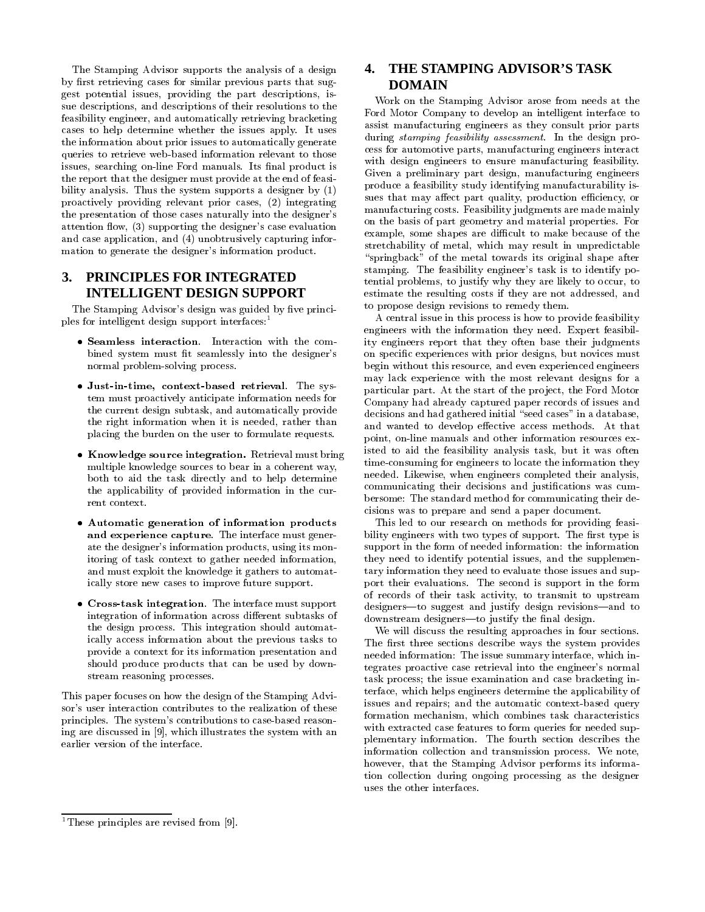The Stamping Advisor supports the analysis of a design by first retrieving cases for similar previous parts that suggest potential issues, providing the part descriptions, issue descriptions, and descriptions of their resolutions to the feasibility engineer, and automatically retrieving bracketing cases to help determine whether the issues apply. It uses the information about prior issues to automatically generate queries to retrieve web-based information relevant to those issues, searching on-line Ford manuals. Its final product is the report that the designer must provide at the end of feasibility analysis. Thus the system supports a designer by (1) proactively providing relevant prior cases, (2) integrating the presentation of those cases naturally into the designer's attention flow, (3) supporting the designer's case evaluation and case application, and (4) unobtrusively capturing information to generate the designer's information product.

# **3. PRINCIPLES FOR INTEGRATED INTELLIGENT DESIGN SUPPORT**

The Stamping Advisor's design was guided by five principles for intelligent design support interfaces:<sup>1</sup>

- bined system must fit seamlessly into the designer's normal problem-solving process.
- Just-in-time, context-based retrieval. The system must proactively anticipate information needs for the current design subtask, and automatically provide the right information when it is needed, rather than placing the burden on the user to formulate requests.
- Knowledge source integration. Retrieval must bring multiple knowledge sources to bear in a coherent way, both to aid the task directly and to help determine the applicability of provided information in the cur rent context.
- Automatic generation of information products and experience capture. The interface must generate the designer's information products, using its monitoring of task context to gather needed information, and must exploit the knowledge it gathers to automatically store new cases to improve future support.
- Cross-task integration. The interface must support integration of information across different subtasks of the design process. This integration should automatically access information about the previous tasks to provide a context for its information presentation and should produce products that can be used by down stream reasoning processes.

This paper focuses on how the design of the Stamping Advisor's user interaction contributes to the realization of these principles. The system's contributions to case-based reasoning are discussed in [9], which illustrates the system with an earlier version of the interface.

# **4. THE STAMPING ADVISOR'S TASK DOMAIN**

Work on the Stamping Advisor arose from needs at the Ford Motor Company to develop an intelligent interface to assist manufacturing engineers as they consult prior parts during stamping feasibility assessment. In the design process for automotive parts, manufacturing engineers interact with design engineers to ensure manufacturing feasibility. Given a preliminary part design, manufacturing engineers produce a feasibility study identifying manufacturability issues that may affect part quality, production efficiency, or manufacturing costs. Feasibility judgments are made mainly on the basis of part geometry and material properties. For example, some shapes are difficult to make because of the stretchability of metal, which may result in unpredictable "springback" of the metal towards its original shape after stamping. The feasibility engineer's task is to identify potential problems, to justify why they are likely to occur, to estimate the resulting costs if they are not addressed, and to propose design revisions to remedy them.

A central issue in this process is how to provide feasibility engineers with the information they need. Expert feasibility engineers report that they often base their judgments on specic experiences with prior designs, but novices must begin without this resource, and even experienced engineers may lack experience with the most relevant designs for a particular part. At the start of the project, the Ford Motor Company had already captured paper records of issues and decisions and had gathered initial "seed cases" in a database, and wanted to develop effective access methods. At that point, on-line manuals and other information resources existed to aid the feasibility analysis task, but it was often time-consuming for engineers to locate the information they needed. Likewise, when engineers completed their analysis, communicating their decisions and justications was cum bersome: The standard method for communicating their decisions was to prepare and send a paper document.

This led to our research on methods for providing feasibility engineers with two types of support. The first type is support in the form of needed information: the information they need to identify potential issues, and the supplementary information they need to evaluate those issues and support their evaluations. The second is support in the form of records of their task activity, to transmit to upstream designers-to suggest and justify design revisions-and to downstream designers-to justify the final design.

We will discuss the resulting approaches in four sections. The first three sections describe ways the system provides needed information: The issue summary interface, which integrates proactive case retrieval into the engineer's normal task process; the issue examination and case bracketing interface, which helps engineers determine the applicability of issues and repairs; and the automatic context-based query formation mechanism, which combines task characteristics with extracted case features to form queries for needed supplementary information. The fourth section describes the information collection and transmission process. We note, however, that the Stamping Advisor performs its information collection during ongoing processing as the designer

<sup>&</sup>lt;sup>1</sup>These principles are revised from [9].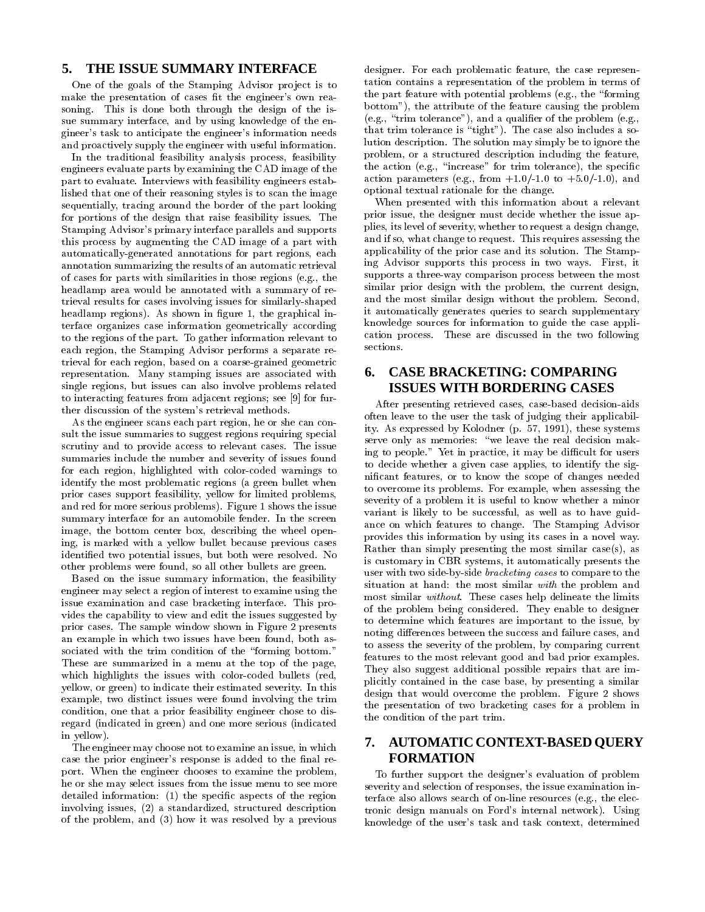## **5. THE ISSUE SUMMARY INTERFACE**

One of the goals of the Stamping Advisor pro ject is to make the presentation of cases fit the engineer's own reasoning. This is done both through the design of the issue summary interface, and by using knowledge of the engineer's task to anticipate the engineer's information needs and proactively supply the engineer with useful information.

In the traditional feasibility analysis process, feasibility engineers evaluate parts by examining the CAD image of the part to evaluate. Interviews with feasibility engineers established that one of their reasoning styles is to scan the image sequentially, tracing around the border of the part looking for portions of the design that raise feasibility issues. The Stamping Advisor's primary interface parallels and supports this process by augmenting the CAD image of a part with automatically-generated annotations for part regions, each annotation summarizing the results of an automatic retrieval of cases for parts with similarities in those regions (e.g., the headlamp area would be annotated with a summary of retrieval results for cases involving issues for similarly-shaped headlamp regions). As shown in figure 1, the graphical interface organizes case information geometrically according to the regions of the part. To gather information relevant to cation process region the Stamping Advisor performs a separate region sections. each region, the Stamping Advisor performs a separate retrieval for each region, based on a coarse-grained geometric representation. Many stamping issues are associated with single regions, but issues can also involve problems related to interacting features from adjacent regions; see [9] for further discussion of the system's retrieval methods.

As the engineer scans each part region, he or she can consult the issue summaries to suggest regions requiring special scrutiny and to provide access to relevant cases. The issue summaries include the number and severity of issues found for each region, highlighted with color-coded warnings to identify the most problematic regions (a green bullet when prior cases support feasibility, yellow for limited problems, and red for more serious problems). Figure 1 shows the issue summary interface for an automobile fender. In the screen image, the bottom center box, describing the wheel opening, is marked with a yellow bullet because previous cases identied two potential issues, but both were resolved. No other problems were found, so all other bullets are green.

Based on the issue summary information, the feasibility engineer may select a region of interest to examine using the issue examination and case bracketing interface. This provides the capability to view and edit the issues suggested by prior cases. The sample window shown in Figure 2 presents an example in which two issues have been found, both associated with the trim condition of the "forming bottom." These are summarized in a menu at the top of the page, which highlights the issues with color-coded bullets (red, yellow, or green) to indicate their estimated severity. In this example, two distinct issues were found involving the trim condition, one that a prior feasibility engineer chose to disregard (indicated in green) and one more serious (indicated in yellow).

The engineer may choose not to examine an issue, in which case the prior engineer's response is added to the final report. When the engineer chooses to examine the problem, he or she may select issues from the issue menu to see more detailed information: (1) the specic aspects of the region involving issues, (2) a standardized, structured description of the problem, and (3) how it was resolved by a previous

designer. For each problematic feature, the case representation contains a representation of the problem in terms of the part feature with potential problems (e.g., the \forming bottom"), the attribute of the feature causing the problem (e.g., "trim tolerance"), and a qualifier of the problem (e.g., that trim tolerance is "tight"). The case also includes a solution description. The solution may simply be to ignore the problem, or a structured description including the feature, the action (e.g., "increase" for trim tolerance), the specific action parameters (e.g., from  $+1.0/-1.0$  to  $+5.0/-1.0$ ), and optional textual rationale for the change.

When presented with this information about a relevant prior issue, the designer must decide whether the issue applies, its level of severity, whether to request a design change, and if so, what change to request. This requires assessing the applicability of the prior case and its solution. The Stamping Advisor supports this process in two ways. First, it supports a three-way comparison process between the most similar prior design with the problem, the current design, and the most similar design without the problem. Second, it automatically generates queries to search supplementary knowledge sources for information to guide the case application process. These are discussed in the two following

# **6. CASE BRACKETING: COMPARING ISSUES WITH BORDERING CASES**

After presenting retrieved cases, case-based decision-aids often leave to the user the task of judging their applicability. As expressed by Kolodner (p. 57, 1991), these systems serve only as memories: "we leave the real decision making to people." Yet in practice, it may be difficult for users to decide whether a given case applies, to identify the signicant features, or to know the scope of changes needed to overcome its problems. For example, when assessing the severity of a problem it is useful to know whether a minor variant is likely to be successful, as well as to have guidance on which features to change. The Stamping Advisor provides this information by using its cases in a novel way. Rather than simply presenting the most similar case(s), as is customary in CBR systems, it automatically presents the user with two side-by-side bracketing cases to compare to the situation at hand: the most similar with the problem and most similar without. These cases help delineate the limits of the problem being considered. They enable to designer to determine which features are important to the issue, by noting differences between the success and failure cases, and to assess the severity of the problem, by comparing current features to the most relevant good and bad prior examples. They also suggest additional possible repairs that are implicitly contained in the case base, by presenting a similar design that would overcome the problem. Figure 2 shows the presentation of two bracketing cases for a problem in the condition of the part trim.

# **7. AUTOMATIC CONTEXT-BASED QUERY FORMATION**

To further support the designer's evaluation of problem severity and selection of responses, the issue examination interface also allows search of on-line resources (e.g., the electronic design manuals on Ford's internal network). Using knowledge of the user's task and task context, determined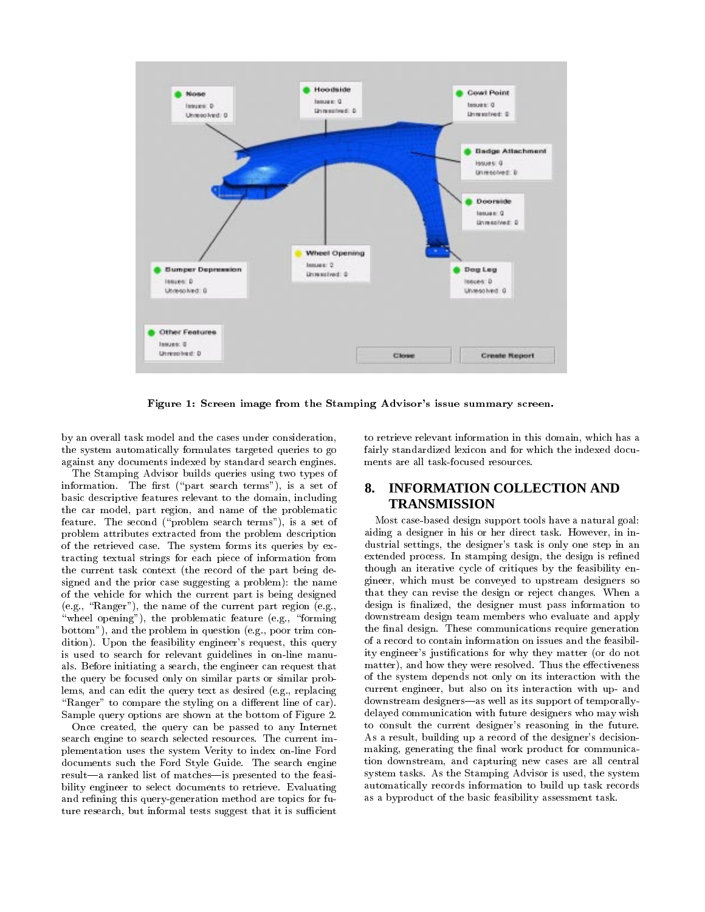

Figure 1: Screen image from the Stamping Advisor's issue summary screen.

by an overall task model and the cases under consideration, the system automatically formulates targeted queries to go against any documents indexed by standard search engines.

The Stamping Advisor builds queries using two types of information. The first ("part search terms"), is a set of basic descriptive features relevant to the domain, including the car model, part region, and name of the problematic feature. The second ("problem search terms"), is a set of problem attributes extracted from the problem description of the retrieved case. The system forms its queries by extracting textual strings for each piece of information from the current task context (the record of the part being designed and the prior case suggesting a problem): the name of the vehicle for which the current part is being designed (e.g., "Ranger"), the name of the current part region (e.g., "wheel opening"), the problematic feature (e.g., "forming bottom"), and the problem in question (e.g., poor trim condition). Upon the feasibility engineer's request, this query is used to search for relevant guidelines in on-line manu als. Before initiating a search, the engineer can request that the query be focused only on similar parts or similar problems, and can edit the query text as desired (e.g., replacing "Ranger" to compare the styling on a different line of car). Sample query options are shown at the bottom of Figure 2.

Once created, the query can be passed to any Internet search engine to search selected resources. The current implementation uses the system Verity to index on-line Ford documents such the Ford Style Guide. The search engine result—a ranked list of matches—is presented to the feasibility engineer to select documents to retrieve. Evaluating and refining this query-generation method are topics for future research, but informal tests suggest that it is sufficient

to retrieve relevant information in this domain, which has a fairly standardized lexicon and for which the indexed docu ments are all task-focused resources.

# **8. INFORMATION COLLECTION AND TRANSMISSION**

Most case-based design support tools have a natural goal: aiding a designer in his or her direct task. However, in industrial settings, the designer's task is only one step in an extended process. In stamping design, the design is refined though an iterative cycle of critiques by the feasibility engineer, which must be conveyed to upstream designers so that they can revise the design or reject changes. When a design is finalized, the designer must pass information to downstream design team members who evaluate and apply the final design. These communications require generation of a record to contain information on issues and the feasibility engineer's justications for why they matter (or do not matter), and how they were resolved. Thus the effectiveness of the system depends not only on its interaction with the current engineer, but also on its interaction with up- and downstream designers-as well as its support of temporallydelayed communication with future designers who may wish to consult the current designer's reasoning in the future. As a result, building up a record of the designer's decisionmaking, generating the final work product for communication downstream, and capturing new cases are all central system tasks. As the Stamping Advisor is used, the system automatically records information to build up task records as a byproduct of the basic feasibility assessment task.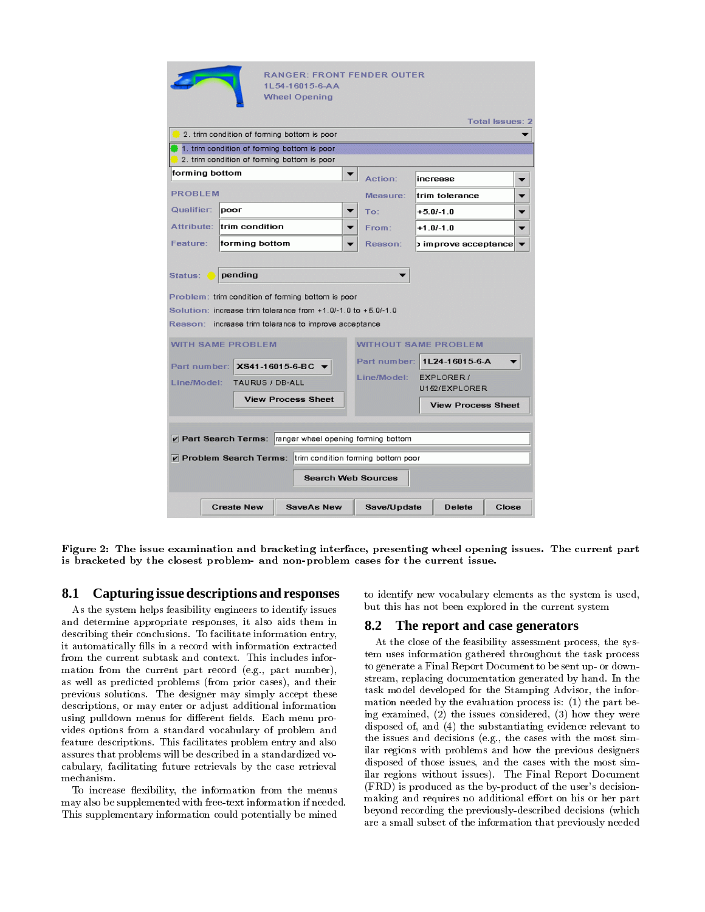| <b>RANGER: FRONT FENDER OUTER</b><br>1L54-16015-6-AA<br>Wheel Opening                                                                                                                                 |                   |                   |  |                             |                |                           |                        |  |
|-------------------------------------------------------------------------------------------------------------------------------------------------------------------------------------------------------|-------------------|-------------------|--|-----------------------------|----------------|---------------------------|------------------------|--|
|                                                                                                                                                                                                       |                   |                   |  |                             |                |                           | <b>Total Issues: 2</b> |  |
| 2. trim condition of forming bottom is poor                                                                                                                                                           |                   |                   |  |                             |                |                           |                        |  |
| 1. trim condition of forming bottom is poor<br>2. trim condition of forming bottom is poor                                                                                                            |                   |                   |  |                             |                |                           |                        |  |
| forming bottom                                                                                                                                                                                        |                   |                   |  | Action:                     |                | increase                  |                        |  |
| <b>PROBLEM</b>                                                                                                                                                                                        |                   |                   |  | Measure:                    |                | ltrim tolerance           |                        |  |
| Qualifier:                                                                                                                                                                                            | DOOF              |                   |  | To:                         |                | $+5.0/-1.0$               |                        |  |
| Attribute:                                                                                                                                                                                            | ltrim condition   |                   |  | From:                       |                | $+1.0/-1.0$               |                        |  |
| Feature:                                                                                                                                                                                              | forming bottom    |                   |  | Reason:                     |                | ) improve acceptance      |                        |  |
| pending<br>Status:<br>Problem: trim condition of forming bottom is poor<br>Solution: increase trim tolerance from $+1.0/-1.0$ to $+5.0/-1.0$<br>Reason: increase trim tolerance to improve acceptance |                   |                   |  |                             |                |                           |                        |  |
| <b>WITH SAME PROBLEM</b>                                                                                                                                                                              |                   |                   |  | <b>WITHOUT SAME PROBLEM</b> |                |                           |                        |  |
| Part number:<br>XS41-16015-6-BC \                                                                                                                                                                     |                   |                   |  | Part number:                | 1L24-16015-6-A |                           |                        |  |
| Line/Model:<br>TAURUS / DB-ALL                                                                                                                                                                        |                   |                   |  | Line/Model:                 | EXPLORER /     |                           |                        |  |
| <b>View Process Sheet</b>                                                                                                                                                                             |                   |                   |  | U152/EXPLORER               |                |                           |                        |  |
|                                                                                                                                                                                                       |                   |                   |  |                             |                | <b>View Process Sheet</b> |                        |  |
| Part Search Terms: ranger wheel opening forming bottom<br>Problem Search Terms: trim condition forming bottom poor<br><b>Search Web Sources</b>                                                       |                   |                   |  |                             |                |                           |                        |  |
|                                                                                                                                                                                                       | <b>Create New</b> | <b>SaveAs New</b> |  | Save/Update                 |                | <b>Delete</b>             | Close                  |  |

Figure 2: The issue examination and bracketing interface, presenting wheel opening issues. The current part is bracketed by the closest problem- and non-problem cases for the current issue.

## **8.1 Capturing issue descriptions and responses**

As the system helps feasibility engineers to identify issues and determine appropriate responses, it also aids them in 8.2 describing their conclusions. To facilitate information entry, it automatically fills in a record with information extracted from the current subtask and context. This includes information from the current part record (e.g., part number), as well as predicted problems (from prior cases), and their previous solutions. The designer may simply accept these descriptions, or may enter or adjust additional information using pulldown menus for different fields. Each menu provides options from a standard vocabulary of problem and feature descriptions. This facilitates problem entry and also assures that problems will be described in a standardized vo cabulary, facilitating future retrievals by the case retrieval mechanism.

To increase flexibility, the information from the menus may also be supplemented with free-text information if needed. This supplementary information could potentially be mined

to identify new vocabulary elements as the system is used, but this has not been explored in the current system

#### **8.2 The report and case generators**

At the close of the feasibility assessment process, the system uses information gathered throughout the task process to generate a Final Report Document to be sent up- or down stream, replacing documentation generated by hand. In the task model developed for the Stamping Advisor, the information needed by the evaluation process is: (1) the part being examined, (2) the issues considered, (3) how they were disposed of, and (4) the substantiating evidence relevant to the issues and decisions (e.g., the cases with the most similar regions with problems and how the previous designers disposed of those issues, and the cases with the most similar regions without issues). The Final Report Document (FRD) is produced as the by-product of the user's decisionmaking and requires no additional effort on his or her part beyond recording the previously-described decisions (which are a small subset of the information that previously needed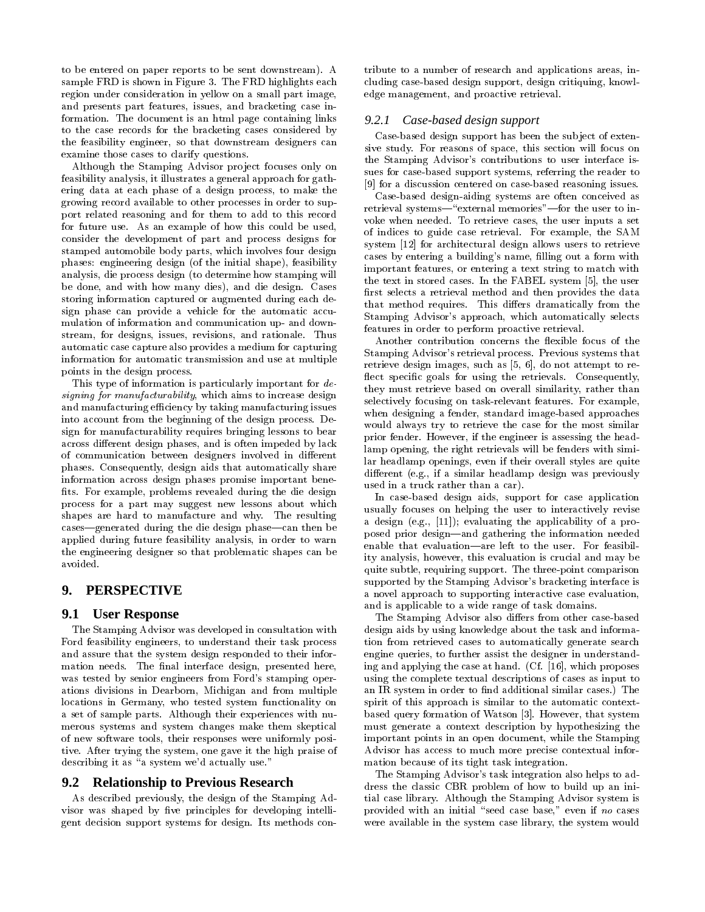to be entered on paper reports to be sent downstream). A sample FRD is shown in Figure 3. The FRD highlights each region under consideration in yellow on a small part image, and presents part features, issues, and bracketing case information. The document is an html page containing links to the case records for the bracketing cases considered by the feasibility engineer, so that downstream designers can examine those cases to clarify questions.

Although the Stamping Advisor project focuses only on feasibility analysis, it illustrates a general approach for gathering data at each phase of a design process, to make the growing record available to other processes in order to support related reasoning and for them to add to this record for future use. As an example of how this could be used, consider the development of part and process designs for stamped automobile body parts, which involves four design phases: engineering design (of the initial shape), feasibility analysis, die process design (to determine how stamping will be done, and with how many dies), and die design. Cases storing information captured or augmented during each design phase can provide a vehicle for the automatic accu mulation of information and communication up- and down stream, for designs, issues, revisions, and rationale. Thus automatic case capture also provides a medium for capturing information for automatic transmission and use at multiple points in the design process.

This type of information is particularly important for designing for manufacturability, which aims to increase design and manufacturing efficiency by taking manufacturing issues into account from the beginning of the design process. Design for manufacturability requires bringing lessons to bear across different design phases, and is often impeded by lack of communication between designers involved in different phases. Consequently, design aids that automatically share information across design phases promise important bene fits. For example, problems revealed during the die design process for a part may suggest new lessons about which shapes are hard to manufacture and why. The resulting cases—generated during the die design phase—can then be applied during future feasibility analysis, in order to warn the engineering designer so that problematic shapes can be avoided.

## **9. PERSPECTIVE**

## **9.1 User Response**

The Stamping Advisor was developed in consultation with Ford feasibility engineers, to understand their task process and assure that the system design responded to their information needs. The final interface design, presented here, was tested by senior engineers from Ford's stamping operations divisions in Dearborn, Michigan and from multiple locations in Germany, who tested system functionality on a set of sample parts. Although their experiences with nu merous systems and system changes make them skeptical of new software tools, their responses were uniformly positive. After trying the system, one gave it the high praise of describing it as "a system we'd actually use."

#### **9.2 Relationship to Previous Research**

As described previously, the design of the Stamping Advisor was shaped by five principles for developing intelligent decision support systems for design. Its methods contribute to a number of research and applications areas, including case-based design support, design critiquing, knowledge management, and proactive retrieval.

#### *9.2.1 Case-based design support*

Case-based design support has been the sub ject of extensive study. For reasons of space, this section will focus on the Stamping Advisor's contributions to user interface issues for case-based support systems, referring the reader to [9] for a discussion centered on case-based reasoning issues.

Case-based design-aiding systems are often conceived as retrieval systems-"external memories"-for the user to invoke when needed. To retrieve cases, the user inputs a set of indices to guide case retrieval. For example, the SAM system [12] for architectural design allows users to retrieve cases by entering a building's name, filling out a form with important features, or entering a text string to match with the text in stored cases. In the FABEL system [5], the user first selects a retrieval method and then provides the data that method requires. This differs dramatically from the Stamping Advisor's approach, which automatically selects features in order to perform proactive retrieval.

Another contribution concerns the flexible focus of the Stamping Advisor's retrieval process. Previous systems that retrieve design images, such as [5, 6], do not attempt to re flect specific goals for using the retrievals. Consequently, they must retrieve based on overall similarity, rather than selectively focusing on task-relevant features. For example, when designing a fender, standard image-based approaches would always try to retrieve the case for the most similar prior fender. However, if the engineer is assessing the headlamp opening, the right retrievals will be fenders with similar headlamp openings, even if their overall styles are quite different (e.g., if a similar headlamp design was previously used in a truck rather than a car).

In case-based design aids, support for case application usually focuses on helping the user to interactively revise a design (e.g., [11]); evaluating the applicability of a proposed prior design—and gathering the information needed enable that evaluation-are left to the user. For feasibility analysis, however, this evaluation is crucial and may be quite subtle, requiring support. The three-point comparison supported by the Stamping Advisor's bracketing interface is a novel approach to supporting interactive case evaluation, and is applicable to a wide range of task domains.

The Stamping Advisor also differs from other case-based design aids by using knowledge about the task and information from retrieved cases to automatically generate search engine queries, to further assist the designer in understanding and applying the case at hand. (Cf. [16], which proposes using the complete textual descriptions of cases as input to an IR system in order to find additional similar cases.) The spirit of this approach is similar to the automatic contextbased query formation of Watson [3]. However, that system must generate a context description by hypothesizing the important points in an open document, while the Stamping Advisor has access to much more precise contextual information because of its tight task integration.

The Stamping Advisor's task integration also helps to address the classic CBR problem of how to build up an initial case library. Although the Stamping Advisor system is provided with an initial "seed case base," even if no cases were available in the system case library, the system would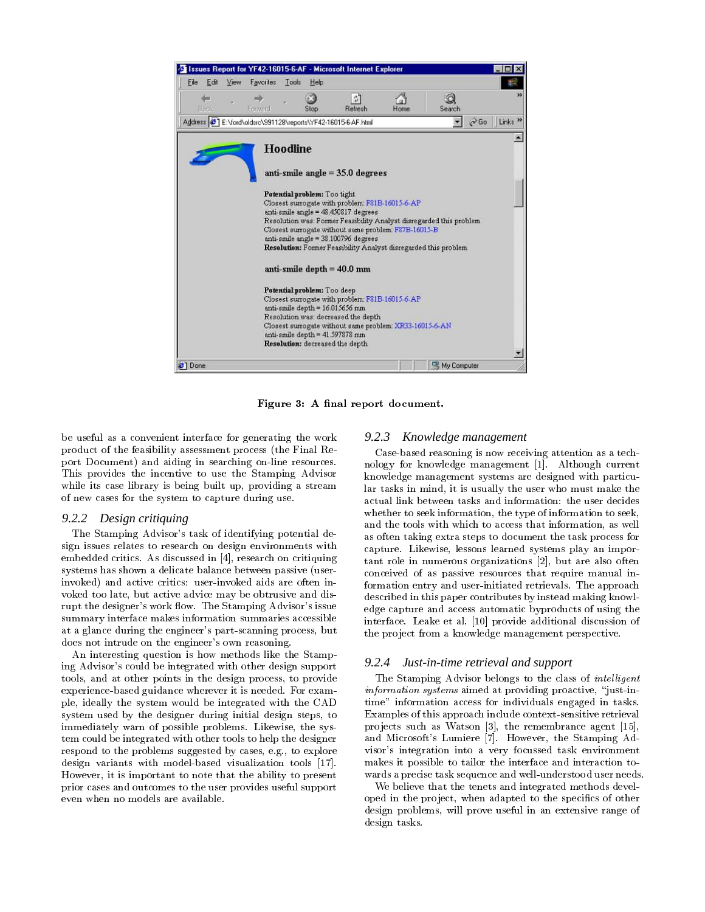

Figure 3: A final report document.

be useful as a convenient interface for generating the work 9.2.3 product of the feasibility assessment process (the Final Report Document) and aiding in searching on-line resources. This provides the incentive to use the Stamping Advisor while its case library is being built up, providing a stream of new cases for the system to capture during use.

#### *9.2.2 Design critiquing*

The Stamping Advisor's task of identifying potential design issues relates to research on design environments with embedded critics. As discussed in [4], research on critiquing systems has shown a delicate balance between passive (userinvoked) and active critics: user-invoked aids are often in voked too late, but active advice may be obtrusive and disrupt the designer's work flow. The Stamping Advisor's issue summary interface makes information summaries accessible at a glance during the engineer's part-scanning process, but does not intrude on the engineer's own reasoning.

An interesting question is how methods like the Stamping Advisor's could be integrated with other design support 9.2.4 tools, and at other points in the design process, to provide experience-based guidance wherever it is needed. For exam ple, ideally the system would be integrated with the CAD system used by the designer during initial design steps, to immediately warn of possible problems. Likewise, the system could be integrated with other tools to help the designer respond to the problems suggested by cases, e.g., to explore design variants with model-based visualization tools [17]. However, it is important to note that the ability to present prior cases and outcomes to the user provides useful support even when no models are available.

#### *9.2.3 Knowledge management*

Case-based reasoning is now receiving attention as a technology for knowledge management [1]. Although current knowledge management systems are designed with particular tasks in mind, it is usually the user who must make the actual link between tasks and information: the user decides whether to seek information, the type of information to seek, and the tools with which to access that information, as well as often taking extra steps to document the task process for capture. Likewise, lessons learned systems play an important role in numerous organizations [2], but are also often conceived of as passive resources that require manual information entry and user-initiated retrievals. The approach described in this paper contributes by instead making knowledge capture and access automatic byproducts of using the interface. Leake et al. [10] provide additional discussion of the project from a knowledge management perspective.

#### *9.2.4 Just-in-time retrieval and support*

The Stamping Advisor belongs to the class of *intelligent*  $information$  systems aimed at providing proactive, "just-intime" information access for individuals engaged in tasks. Examples of this approach include context-sensitive retrieval projects such as Watson [3], the remembrance agent [15], and Microsoft's Lumiere [7]. However, the Stamping Advisor's integration into a very focussed task environment makes it possible to tailor the interface and interaction to wards a precise task sequence and well-understood user needs.

We believe that the tenets and integrated methods developed in the project, when adapted to the specifics of other design problems, will prove useful in an extensive range of design tasks.